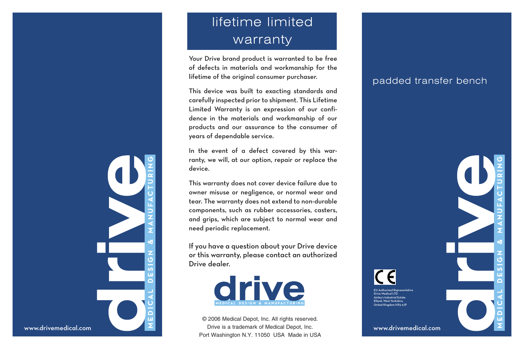## lifetime limited warranty

Your Drive brand product is warranted to be free of defects in materials and workmanship for the lifetime of the original consumer purchaser.

This device was built to exacting standards and carefully inspected prior to shipment. This Lifetime Limited Warranty is an expression of our confidence in the materials and workmanship of our products and our assurance to the consumer of years of dependable service.

In the event of a defect covered by this warranty, we will, at our option, repair or replace the device.

This warranty does not cover device failure due to owner misuse or negligence, or normal wear and tear. The warranty does not extend to non-durable components, such as rubber accessories, casters, and grips, which are subject to normal wear and need periodic replacement.

If you have a question about your Drive device or this warranty, please contact an authorized Drive dealer.



© 2006 Medical Depot, Inc. All rights reserved. Drive is a trademark of Medical Depot, Inc. Port Washington N.Y. 11050 USA Made in USA

## padded transfer bench

www.drivemedical.com

rized Representative ive Medical LTD Ainley's Industrial Estate Elland, West Yorkshire, United Kingdom HX5 9JP





www.drivemedical.com